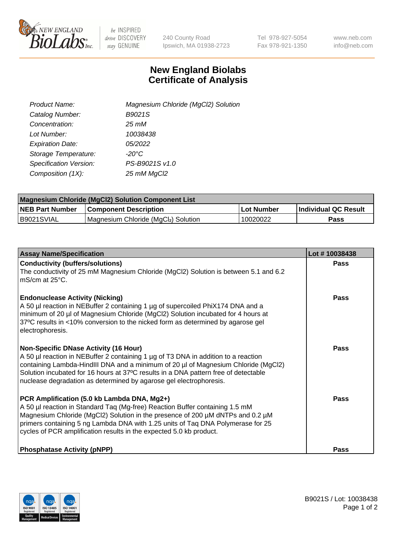

 $be$  INSPIRED drive DISCOVERY stay GENUINE

240 County Road Ipswich, MA 01938-2723 Tel 978-927-5054 Fax 978-921-1350 www.neb.com info@neb.com

## **New England Biolabs Certificate of Analysis**

| Product Name:           | Magnesium Chloride (MgCl2) Solution |
|-------------------------|-------------------------------------|
| Catalog Number:         | B9021S                              |
| Concentration:          | 25 mM                               |
| Lot Number:             | 10038438                            |
| <b>Expiration Date:</b> | 05/2022                             |
| Storage Temperature:    | $-20^{\circ}$ C                     |
| Specification Version:  | PS-B9021S v1.0                      |
| Composition (1X):       | 25 mM MgCl2                         |

| <b>Magnesium Chloride (MgCl2) Solution Component List</b> |                                     |            |                             |  |  |
|-----------------------------------------------------------|-------------------------------------|------------|-----------------------------|--|--|
| <b>NEB Part Number</b>                                    | <b>Component Description</b>        | Lot Number | <b>Individual QC Result</b> |  |  |
| B9021SVIAL                                                | Magnesium Chloride (MgCl2) Solution | 10020022   | Pass                        |  |  |

| <b>Assay Name/Specification</b>                                                                                                                                                                                                                                                                                                                                                       | Lot #10038438 |
|---------------------------------------------------------------------------------------------------------------------------------------------------------------------------------------------------------------------------------------------------------------------------------------------------------------------------------------------------------------------------------------|---------------|
| <b>Conductivity (buffers/solutions)</b><br>The conductivity of 25 mM Magnesium Chloride (MgCl2) Solution is between 5.1 and 6.2<br>$\overline{\phantom{a}}$ mS/cm at 25°C.                                                                                                                                                                                                            | <b>Pass</b>   |
| <b>Endonuclease Activity (Nicking)</b><br>A 50 µl reaction in NEBuffer 2 containing 1 µg of supercoiled PhiX174 DNA and a<br>minimum of 20 µl of Magnesium Chloride (MgCl2) Solution incubated for 4 hours at<br>37°C results in <10% conversion to the nicked form as determined by agarose gel<br>electrophoresis.                                                                  | Pass          |
| <b>Non-Specific DNase Activity (16 Hour)</b><br>A 50 µl reaction in NEBuffer 2 containing 1 µg of T3 DNA in addition to a reaction<br>containing Lambda-HindIII DNA and a minimum of 20 µl of Magnesium Chloride (MgCl2)<br>Solution incubated for 16 hours at 37°C results in a DNA pattern free of detectable<br>nuclease degradation as determined by agarose gel electrophoresis. | Pass          |
| PCR Amplification (5.0 kb Lambda DNA, Mg2+)<br>A 50 µl reaction in Standard Taq (Mg-free) Reaction Buffer containing 1.5 mM<br>Magnesium Chloride (MgCl2) Solution in the presence of 200 µM dNTPs and 0.2 µM<br>primers containing 5 ng Lambda DNA with 1.25 units of Taq DNA Polymerase for 25<br>cycles of PCR amplification results in the expected 5.0 kb product.               | Pass          |
| <b>Phosphatase Activity (pNPP)</b>                                                                                                                                                                                                                                                                                                                                                    | Pass          |